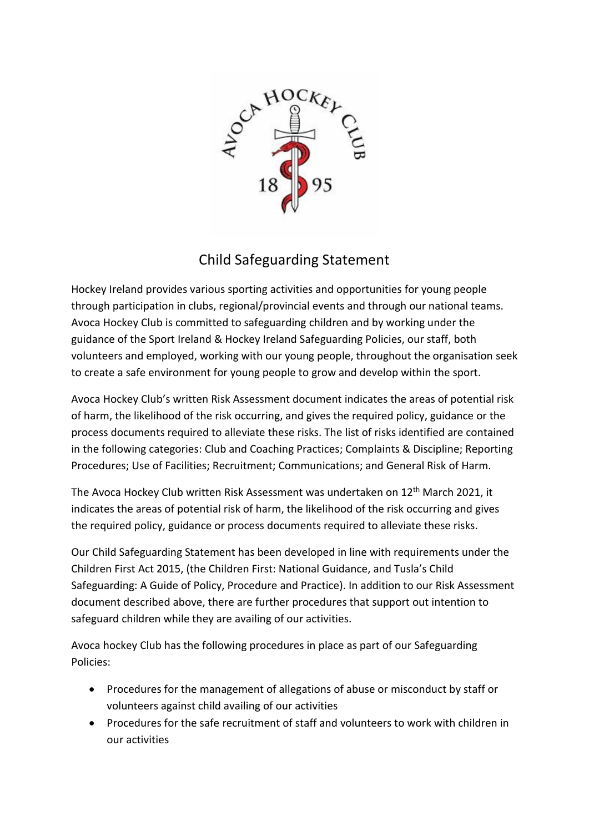

## Child Safeguarding Statement

Hockey Ireland provides various sporting activities and opportunities for young people through participation in clubs, regional/provincial events and through our national teams. Avoca Hockey Club is committed to safeguarding children and by working under the guidance of the Sport Ireland & Hockey Ireland Safeguarding Policies, our staff, both volunteers and employed, working with our young people, throughout the organisation seek to create a safe environment for young people to grow and develop within the sport.

Avoca Hockey Club's written Risk Assessment document indicates the areas of potential risk of harm, the likelihood of the risk occurring, and gives the required policy, guidance or the process documents required to alleviate these risks. The list of risks identified are contained in the following categories: Club and Coaching Practices; Complaints & Discipline; Reporting Procedures; Use of Facilities; Recruitment; Communications; and General Risk of Harm.

The Avoca Hockey Club written Risk Assessment was undertaken on 12<sup>th</sup> March 2021, it indicates the areas of potential risk of harm, the likelihood of the risk occurring and gives the required policy, guidance or process documents required to alleviate these risks.

Our Child Safeguarding Statement has been developed in line with requirements under the Children First Act 2015, (the Children First: National Guidance, and Tusla's Child Safeguarding: A Guide of Policy, Procedure and Practice). In addition to our Risk Assessment document described above, there are further procedures that support out intention to safeguard children while they are availing of our activities.

Avoca hockey Club has the following procedures in place as part of our Safeguarding Policies:

- Procedures for the management of allegations of abuse or misconduct by staff or volunteers against child availing of our activities
- Procedures for the safe recruitment of staff and volunteers to work with children in our activities